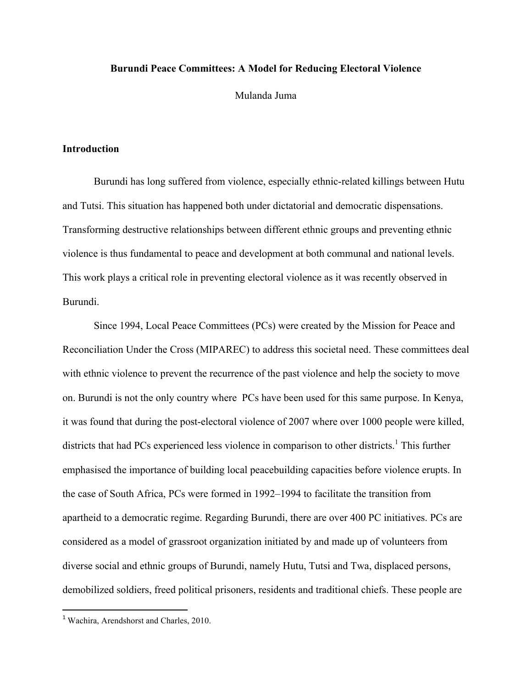## **Burundi Peace Committees: A Model for Reducing Electoral Violence**

Mulanda Juma

## **Introduction**

Burundi has long suffered from violence, especially ethnic-related killings between Hutu and Tutsi. This situation has happened both under dictatorial and democratic dispensations. Transforming destructive relationships between different ethnic groups and preventing ethnic violence is thus fundamental to peace and development at both communal and national levels. This work plays a critical role in preventing electoral violence as it was recently observed in Burundi.

Since 1994, Local Peace Committees (PCs) were created by the Mission for Peace and Reconciliation Under the Cross (MIPAREC) to address this societal need. These committees deal with ethnic violence to prevent the recurrence of the past violence and help the society to move on. Burundi is not the only country where PCs have been used for this same purpose. In Kenya, it was found that during the post-electoral violence of 2007 where over 1000 people were killed, districts that had PCs experienced less violence in comparison to other districts.<sup>1</sup> This further emphasised the importance of building local peacebuilding capacities before violence erupts. In the case of South Africa, PCs were formed in 1992–1994 to facilitate the transition from apartheid to a democratic regime. Regarding Burundi, there are over 400 PC initiatives. PCs are considered as a model of grassroot organization initiated by and made up of volunteers from diverse social and ethnic groups of Burundi, namely Hutu, Tutsi and Twa, displaced persons, demobilized soldiers, freed political prisoners, residents and traditional chiefs. These people are

<sup>&</sup>lt;sup>1</sup> Wachira, Arendshorst and Charles, 2010.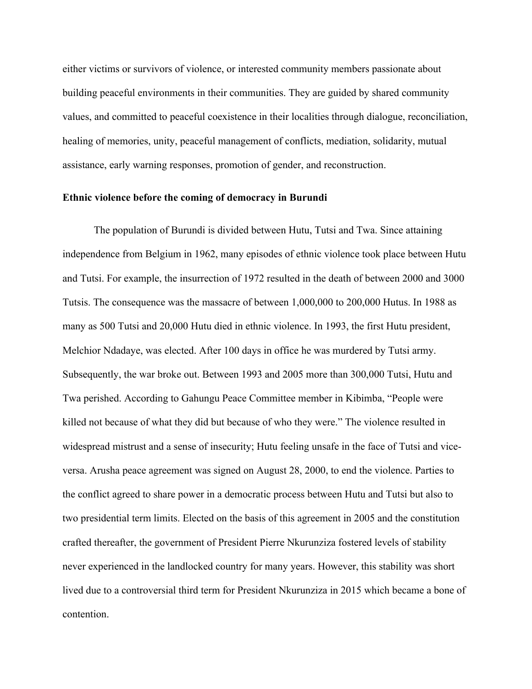either victims or survivors of violence, or interested community members passionate about building peaceful environments in their communities. They are guided by shared community values, and committed to peaceful coexistence in their localities through dialogue, reconciliation, healing of memories, unity, peaceful management of conflicts, mediation, solidarity, mutual assistance, early warning responses, promotion of gender, and reconstruction.

#### **Ethnic violence before the coming of democracy in Burundi**

The population of Burundi is divided between Hutu, Tutsi and Twa. Since attaining independence from Belgium in 1962, many episodes of ethnic violence took place between Hutu and Tutsi. For example, the insurrection of 1972 resulted in the death of between 2000 and 3000 Tutsis. The consequence was the massacre of between 1,000,000 to 200,000 Hutus. In 1988 as many as 500 Tutsi and 20,000 Hutu died in ethnic violence. In 1993, the first Hutu president, Melchior Ndadaye, was elected. After 100 days in office he was murdered by Tutsi army. Subsequently, the war broke out. Between 1993 and 2005 more than 300,000 Tutsi, Hutu and Twa perished. According to Gahungu Peace Committee member in Kibimba, "People were killed not because of what they did but because of who they were." The violence resulted in widespread mistrust and a sense of insecurity; Hutu feeling unsafe in the face of Tutsi and viceversa. Arusha peace agreement was signed on August 28, 2000, to end the violence. Parties to the conflict agreed to share power in a democratic process between Hutu and Tutsi but also to two presidential term limits. Elected on the basis of this agreement in 2005 and the constitution crafted thereafter, the government of President Pierre Nkurunziza fostered levels of stability never experienced in the landlocked country for many years. However, this stability was short lived due to a controversial third term for President Nkurunziza in 2015 which became a bone of contention.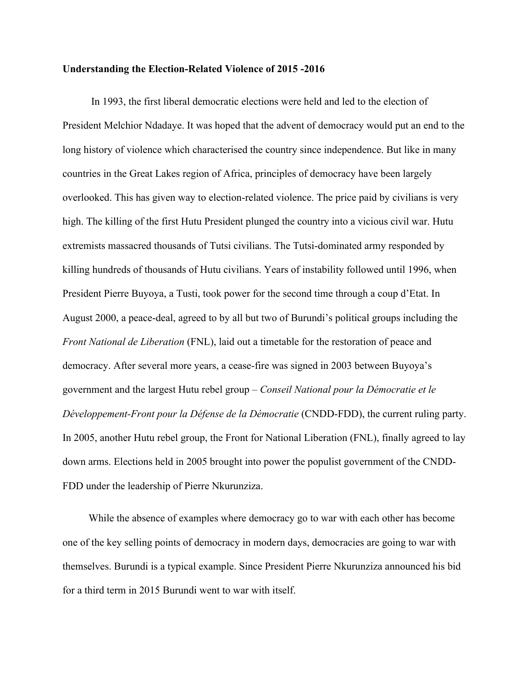#### **Understanding the Election-Related Violence of 2015 -2016**

 In 1993, the first liberal democratic elections were held and led to the election of President Melchior Ndadaye. It was hoped that the advent of democracy would put an end to the long history of violence which characterised the country since independence. But like in many countries in the Great Lakes region of Africa, principles of democracy have been largely overlooked. This has given way to election-related violence. The price paid by civilians is very high. The killing of the first Hutu President plunged the country into a vicious civil war. Hutu extremists massacred thousands of Tutsi civilians. The Tutsi-dominated army responded by killing hundreds of thousands of Hutu civilians. Years of instability followed until 1996, when President Pierre Buyoya, a Tusti, took power for the second time through a coup d'Etat. In August 2000, a peace-deal, agreed to by all but two of Burundi's political groups including the *Front National de Liberation* (FNL), laid out a timetable for the restoration of peace and democracy. After several more years, a cease-fire was signed in 2003 between Buyoya's government and the largest Hutu rebel group – *Conseil National pour la Démocratie et le Développement-Front pour la Défense de la Démocratie* (CNDD-FDD), the current ruling party. In 2005, another Hutu rebel group, the Front for National Liberation (FNL), finally agreed to lay down arms. Elections held in 2005 brought into power the populist government of the CNDD-FDD under the leadership of Pierre Nkurunziza.

 While the absence of examples where democracy go to war with each other has become one of the key selling points of democracy in modern days, democracies are going to war with themselves. Burundi is a typical example. Since President Pierre Nkurunziza announced his bid for a third term in 2015 Burundi went to war with itself.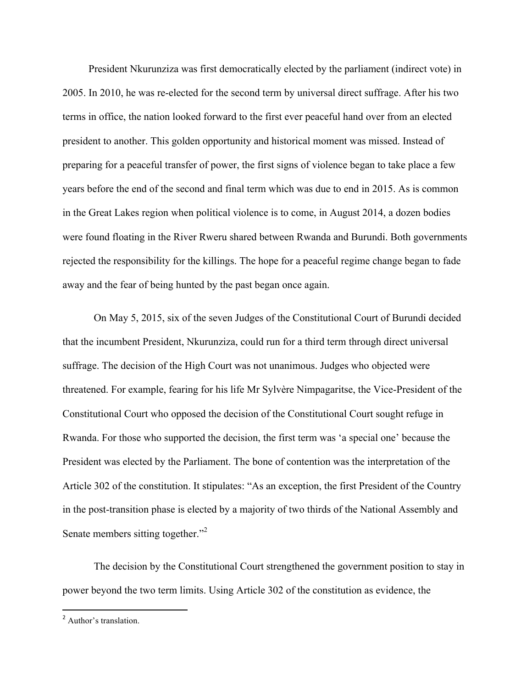President Nkurunziza was first democratically elected by the parliament (indirect vote) in 2005. In 2010, he was re-elected for the second term by universal direct suffrage. After his two terms in office, the nation looked forward to the first ever peaceful hand over from an elected president to another. This golden opportunity and historical moment was missed. Instead of preparing for a peaceful transfer of power, the first signs of violence began to take place a few years before the end of the second and final term which was due to end in 2015. As is common in the Great Lakes region when political violence is to come, in August 2014, a dozen bodies were found floating in the River Rweru shared between Rwanda and Burundi. Both governments rejected the responsibility for the killings. The hope for a peaceful regime change began to fade away and the fear of being hunted by the past began once again.

 On May 5, 2015, six of the seven Judges of the Constitutional Court of Burundi decided that the incumbent President, Nkurunziza, could run for a third term through direct universal suffrage. The decision of the High Court was not unanimous. Judges who objected were threatened. For example, fearing for his life Mr Sylvère Nimpagaritse, the Vice-President of the Constitutional Court who opposed the decision of the Constitutional Court sought refuge in Rwanda. For those who supported the decision, the first term was 'a special one' because the President was elected by the Parliament. The bone of contention was the interpretation of the Article 302 of the constitution. It stipulates: "As an exception, the first President of the Country in the post-transition phase is elected by a majority of two thirds of the National Assembly and Senate members sitting together."<sup>2</sup>

 The decision by the Constitutional Court strengthened the government position to stay in power beyond the two term limits. Using Article 302 of the constitution as evidence, the

<sup>2</sup> Author's translation.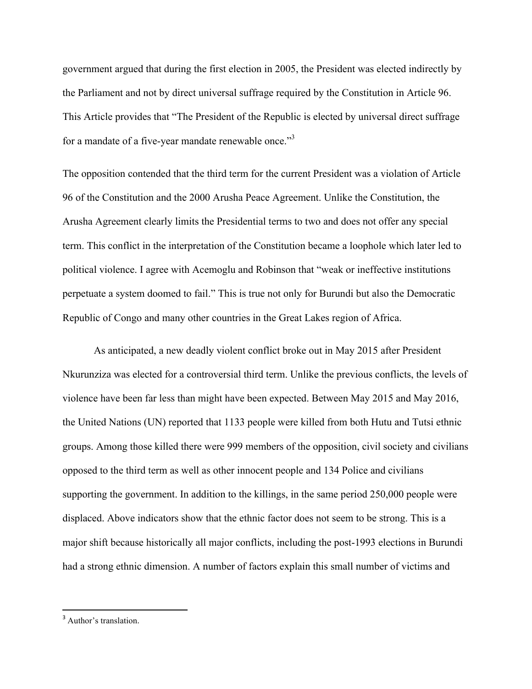government argued that during the first election in 2005, the President was elected indirectly by the Parliament and not by direct universal suffrage required by the Constitution in Article 96. This Article provides that "The President of the Republic is elected by universal direct suffrage for a mandate of a five-year mandate renewable once."3

The opposition contended that the third term for the current President was a violation of Article 96 of the Constitution and the 2000 Arusha Peace Agreement. Unlike the Constitution, the Arusha Agreement clearly limits the Presidential terms to two and does not offer any special term. This conflict in the interpretation of the Constitution became a loophole which later led to political violence. I agree with Acemoglu and Robinson that "weak or ineffective institutions perpetuate a system doomed to fail." This is true not only for Burundi but also the Democratic Republic of Congo and many other countries in the Great Lakes region of Africa.

 As anticipated, a new deadly violent conflict broke out in May 2015 after President Nkurunziza was elected for a controversial third term. Unlike the previous conflicts, the levels of violence have been far less than might have been expected. Between May 2015 and May 2016, the United Nations (UN) reported that 1133 people were killed from both Hutu and Tutsi ethnic groups. Among those killed there were 999 members of the opposition, civil society and civilians opposed to the third term as well as other innocent people and 134 Police and civilians supporting the government. In addition to the killings, in the same period 250,000 people were displaced. Above indicators show that the ethnic factor does not seem to be strong. This is a major shift because historically all major conflicts, including the post-1993 elections in Burundi had a strong ethnic dimension. A number of factors explain this small number of victims and

<sup>3</sup> Author's translation.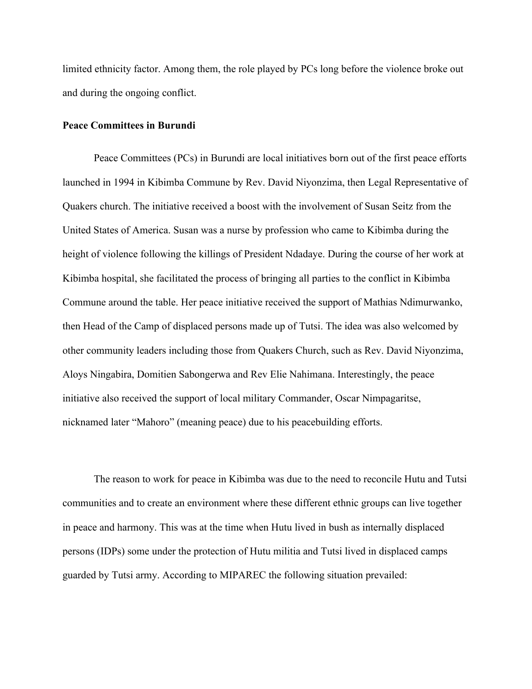limited ethnicity factor. Among them, the role played by PCs long before the violence broke out and during the ongoing conflict.

#### **Peace Committees in Burundi**

Peace Committees (PCs) in Burundi are local initiatives born out of the first peace efforts launched in 1994 in Kibimba Commune by Rev. David Niyonzima, then Legal Representative of Quakers church. The initiative received a boost with the involvement of Susan Seitz from the United States of America. Susan was a nurse by profession who came to Kibimba during the height of violence following the killings of President Ndadaye. During the course of her work at Kibimba hospital, she facilitated the process of bringing all parties to the conflict in Kibimba Commune around the table. Her peace initiative received the support of Mathias Ndimurwanko, then Head of the Camp of displaced persons made up of Tutsi. The idea was also welcomed by other community leaders including those from Quakers Church, such as Rev. David Niyonzima, Aloys Ningabira, Domitien Sabongerwa and Rev Elie Nahimana. Interestingly, the peace initiative also received the support of local military Commander, Oscar Nimpagaritse, nicknamed later "Mahoro" (meaning peace) due to his peacebuilding efforts.

 The reason to work for peace in Kibimba was due to the need to reconcile Hutu and Tutsi communities and to create an environment where these different ethnic groups can live together in peace and harmony. This was at the time when Hutu lived in bush as internally displaced persons (IDPs) some under the protection of Hutu militia and Tutsi lived in displaced camps guarded by Tutsi army. According to MIPAREC the following situation prevailed: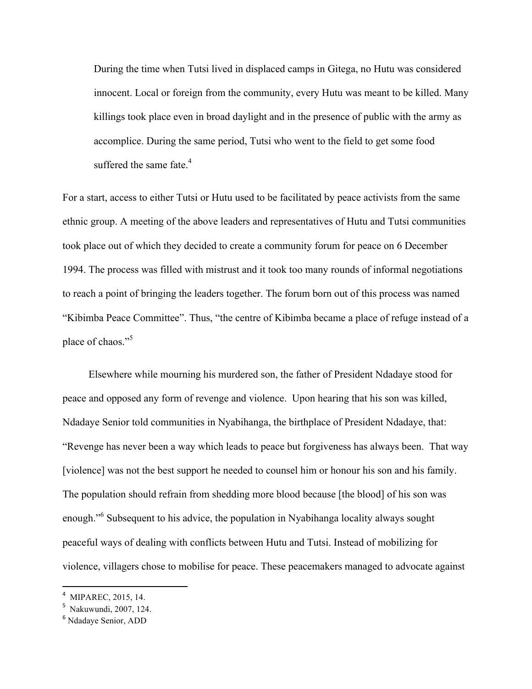During the time when Tutsi lived in displaced camps in Gitega, no Hutu was considered innocent. Local or foreign from the community, every Hutu was meant to be killed. Many killings took place even in broad daylight and in the presence of public with the army as accomplice. During the same period, Tutsi who went to the field to get some food suffered the same fate. $4$ 

For a start, access to either Tutsi or Hutu used to be facilitated by peace activists from the same ethnic group. A meeting of the above leaders and representatives of Hutu and Tutsi communities took place out of which they decided to create a community forum for peace on 6 December 1994. The process was filled with mistrust and it took too many rounds of informal negotiations to reach a point of bringing the leaders together. The forum born out of this process was named "Kibimba Peace Committee". Thus, "the centre of Kibimba became a place of refuge instead of a place of chaos."<sup>5</sup>

 Elsewhere while mourning his murdered son, the father of President Ndadaye stood for peace and opposed any form of revenge and violence. Upon hearing that his son was killed, Ndadaye Senior told communities in Nyabihanga, the birthplace of President Ndadaye, that: "Revenge has never been a way which leads to peace but forgiveness has always been. That way [violence] was not the best support he needed to counsel him or honour his son and his family. The population should refrain from shedding more blood because [the blood] of his son was enough."<sup>6</sup> Subsequent to his advice, the population in Nyabihanga locality always sought peaceful ways of dealing with conflicts between Hutu and Tutsi. Instead of mobilizing for violence, villagers chose to mobilise for peace. These peacemakers managed to advocate against

<sup>4</sup> MIPAREC, 2015, 14.

<sup>5</sup> Nakuwundi, 2007, 124.

<sup>6</sup> Ndadaye Senior, ADD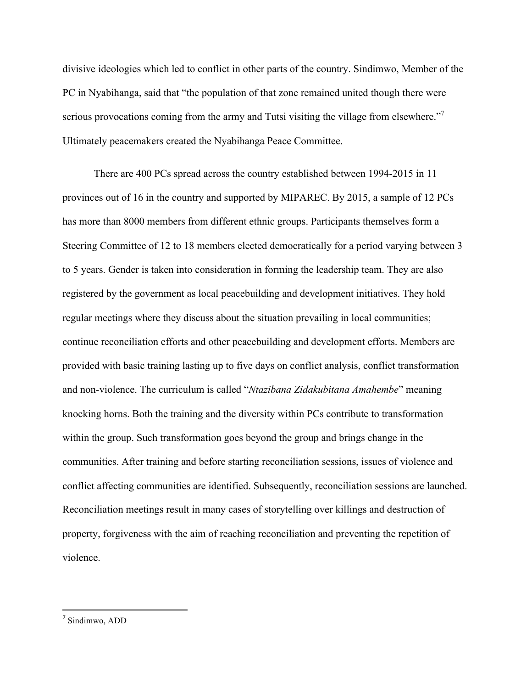divisive ideologies which led to conflict in other parts of the country. Sindimwo, Member of the PC in Nyabihanga, said that "the population of that zone remained united though there were serious provocations coming from the army and Tutsi visiting the village from elsewhere."<sup>7</sup> Ultimately peacemakers created the Nyabihanga Peace Committee.

 There are 400 PCs spread across the country established between 1994-2015 in 11 provinces out of 16 in the country and supported by MIPAREC. By 2015, a sample of 12 PCs has more than 8000 members from different ethnic groups. Participants themselves form a Steering Committee of 12 to 18 members elected democratically for a period varying between 3 to 5 years. Gender is taken into consideration in forming the leadership team. They are also registered by the government as local peacebuilding and development initiatives. They hold regular meetings where they discuss about the situation prevailing in local communities; continue reconciliation efforts and other peacebuilding and development efforts. Members are provided with basic training lasting up to five days on conflict analysis, conflict transformation and non-violence. The curriculum is called "*Ntazibana Zidakubitana Amahembe*" meaning knocking horns. Both the training and the diversity within PCs contribute to transformation within the group. Such transformation goes beyond the group and brings change in the communities. After training and before starting reconciliation sessions, issues of violence and conflict affecting communities are identified. Subsequently, reconciliation sessions are launched. Reconciliation meetings result in many cases of storytelling over killings and destruction of property, forgiveness with the aim of reaching reconciliation and preventing the repetition of violence.

<sup>7</sup> Sindimwo, ADD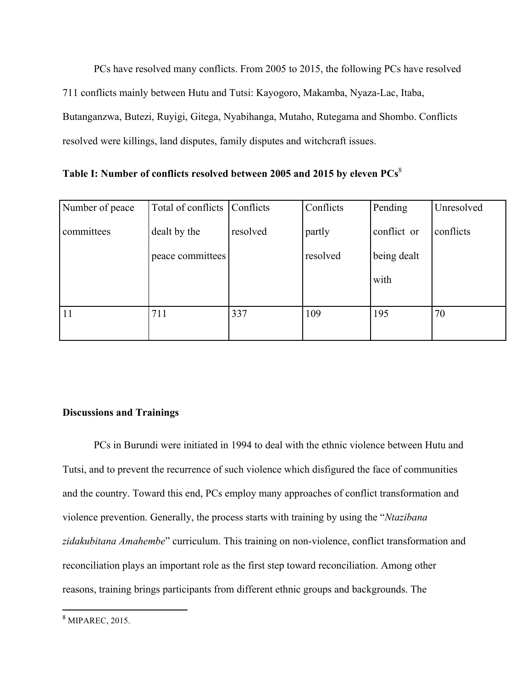PCs have resolved many conflicts. From 2005 to 2015, the following PCs have resolved 711 conflicts mainly between Hutu and Tutsi: Kayogoro, Makamba, Nyaza-Lac, Itaba, Butanganzwa, Butezi, Ruyigi, Gitega, Nyabihanga, Mutaho, Rutegama and Shombo. Conflicts resolved were killings, land disputes, family disputes and witchcraft issues.

|  |  | Table I: Number of conflicts resolved between 2005 and 2015 by eleven PCs <sup>8</sup> |
|--|--|----------------------------------------------------------------------------------------|
|  |  |                                                                                        |

| Number of peace | Total of conflicts | Conflicts | Conflicts | Pending     | Unresolved |
|-----------------|--------------------|-----------|-----------|-------------|------------|
| committees      | dealt by the       | resolved  | partly    | conflict or | conflicts  |
|                 | peace committees   |           | resolved  | being dealt |            |
|                 |                    |           |           | with        |            |
|                 |                    |           |           |             |            |
| $\vert$ 11      | 711                | 337       | 109       | 195         | 70         |
|                 |                    |           |           |             |            |

# **Discussions and Trainings**

 PCs in Burundi were initiated in 1994 to deal with the ethnic violence between Hutu and Tutsi, and to prevent the recurrence of such violence which disfigured the face of communities and the country. Toward this end, PCs employ many approaches of conflict transformation and violence prevention. Generally, the process starts with training by using the "*Ntazibana zidakubitana Amahembe*" curriculum. This training on non-violence, conflict transformation and reconciliation plays an important role as the first step toward reconciliation. Among other reasons, training brings participants from different ethnic groups and backgrounds. The

<u> 1989 - Johann Stein, fransk politik (d. 1989)</u>

<sup>8</sup> MIPAREC, 2015.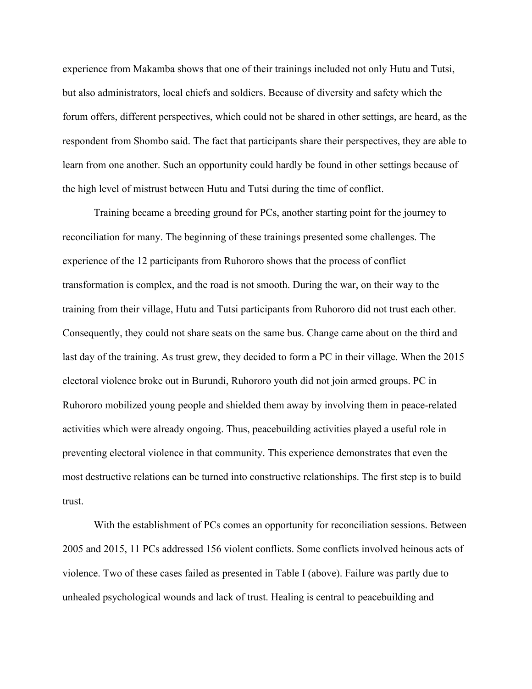experience from Makamba shows that one of their trainings included not only Hutu and Tutsi, but also administrators, local chiefs and soldiers. Because of diversity and safety which the forum offers, different perspectives, which could not be shared in other settings, are heard, as the respondent from Shombo said. The fact that participants share their perspectives, they are able to learn from one another. Such an opportunity could hardly be found in other settings because of the high level of mistrust between Hutu and Tutsi during the time of conflict.

 Training became a breeding ground for PCs, another starting point for the journey to reconciliation for many. The beginning of these trainings presented some challenges. The experience of the 12 participants from Ruhororo shows that the process of conflict transformation is complex, and the road is not smooth. During the war, on their way to the training from their village, Hutu and Tutsi participants from Ruhororo did not trust each other. Consequently, they could not share seats on the same bus. Change came about on the third and last day of the training. As trust grew, they decided to form a PC in their village. When the 2015 electoral violence broke out in Burundi, Ruhororo youth did not join armed groups. PC in Ruhororo mobilized young people and shielded them away by involving them in peace-related activities which were already ongoing. Thus, peacebuilding activities played a useful role in preventing electoral violence in that community. This experience demonstrates that even the most destructive relations can be turned into constructive relationships. The first step is to build trust.

 With the establishment of PCs comes an opportunity for reconciliation sessions. Between 2005 and 2015, 11 PCs addressed 156 violent conflicts. Some conflicts involved heinous acts of violence. Two of these cases failed as presented in Table I (above). Failure was partly due to unhealed psychological wounds and lack of trust. Healing is central to peacebuilding and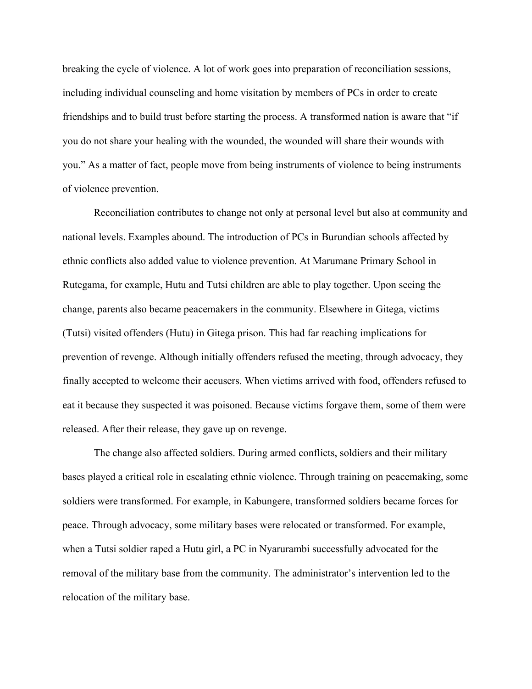breaking the cycle of violence. A lot of work goes into preparation of reconciliation sessions, including individual counseling and home visitation by members of PCs in order to create friendships and to build trust before starting the process. A transformed nation is aware that "if you do not share your healing with the wounded, the wounded will share their wounds with you." As a matter of fact, people move from being instruments of violence to being instruments of violence prevention.

 Reconciliation contributes to change not only at personal level but also at community and national levels. Examples abound. The introduction of PCs in Burundian schools affected by ethnic conflicts also added value to violence prevention. At Marumane Primary School in Rutegama, for example, Hutu and Tutsi children are able to play together. Upon seeing the change, parents also became peacemakers in the community. Elsewhere in Gitega, victims (Tutsi) visited offenders (Hutu) in Gitega prison. This had far reaching implications for prevention of revenge. Although initially offenders refused the meeting, through advocacy, they finally accepted to welcome their accusers. When victims arrived with food, offenders refused to eat it because they suspected it was poisoned. Because victims forgave them, some of them were released. After their release, they gave up on revenge.

The change also affected soldiers. During armed conflicts, soldiers and their military bases played a critical role in escalating ethnic violence. Through training on peacemaking, some soldiers were transformed. For example, in Kabungere, transformed soldiers became forces for peace. Through advocacy, some military bases were relocated or transformed. For example, when a Tutsi soldier raped a Hutu girl, a PC in Nyarurambi successfully advocated for the removal of the military base from the community. The administrator's intervention led to the relocation of the military base.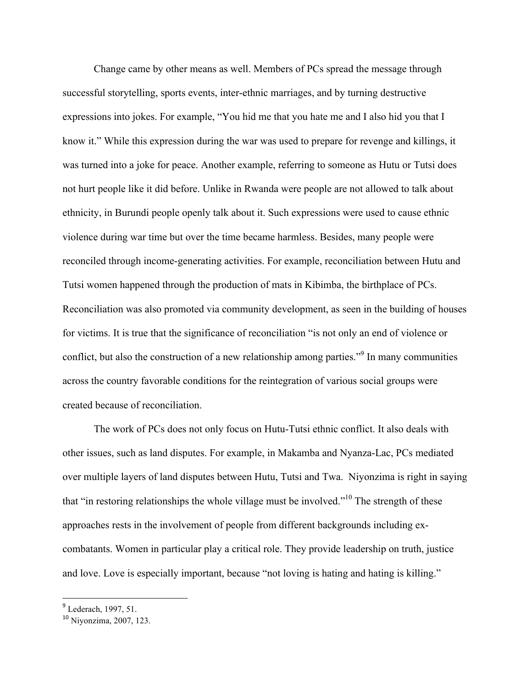Change came by other means as well. Members of PCs spread the message through successful storytelling, sports events, inter-ethnic marriages, and by turning destructive expressions into jokes. For example, "You hid me that you hate me and I also hid you that I know it." While this expression during the war was used to prepare for revenge and killings, it was turned into a joke for peace. Another example, referring to someone as Hutu or Tutsi does not hurt people like it did before. Unlike in Rwanda were people are not allowed to talk about ethnicity, in Burundi people openly talk about it. Such expressions were used to cause ethnic violence during war time but over the time became harmless. Besides, many people were reconciled through income-generating activities. For example, reconciliation between Hutu and Tutsi women happened through the production of mats in Kibimba, the birthplace of PCs. Reconciliation was also promoted via community development, as seen in the building of houses for victims. It is true that the significance of reconciliation "is not only an end of violence or conflict, but also the construction of a new relationship among parties."<sup>9</sup> In many communities across the country favorable conditions for the reintegration of various social groups were created because of reconciliation.

The work of PCs does not only focus on Hutu-Tutsi ethnic conflict. It also deals with other issues, such as land disputes. For example, in Makamba and Nyanza-Lac, PCs mediated over multiple layers of land disputes between Hutu, Tutsi and Twa. Niyonzima is right in saying that "in restoring relationships the whole village must be involved."10 The strength of these approaches rests in the involvement of people from different backgrounds including excombatants. Women in particular play a critical role. They provide leadership on truth, justice and love. Love is especially important, because "not loving is hating and hating is killing."

<u> 1989 - Johann Stein, fransk politik (d. 1989)</u>

<sup>&</sup>lt;sup>9</sup> Lederach, 1997, 51.

<sup>10</sup> Niyonzima, 2007, 123.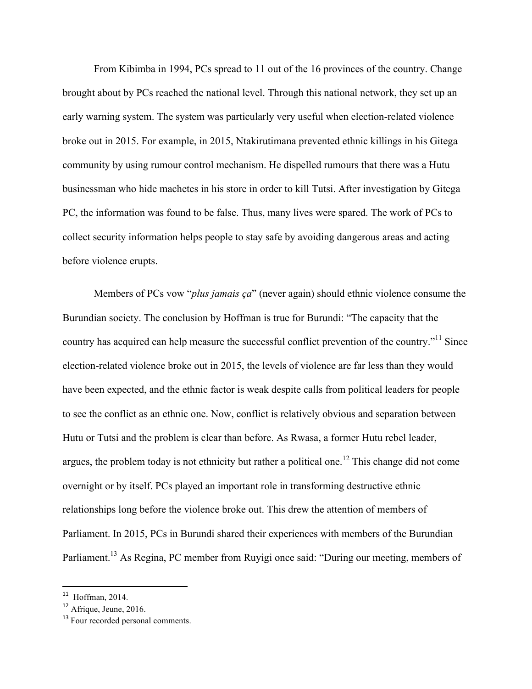From Kibimba in 1994, PCs spread to 11 out of the 16 provinces of the country. Change brought about by PCs reached the national level. Through this national network, they set up an early warning system. The system was particularly very useful when election-related violence broke out in 2015. For example, in 2015, Ntakirutimana prevented ethnic killings in his Gitega community by using rumour control mechanism. He dispelled rumours that there was a Hutu businessman who hide machetes in his store in order to kill Tutsi. After investigation by Gitega PC, the information was found to be false. Thus, many lives were spared. The work of PCs to collect security information helps people to stay safe by avoiding dangerous areas and acting before violence erupts.

Members of PCs vow "*plus jamais ça*" (never again) should ethnic violence consume the Burundian society. The conclusion by Hoffman is true for Burundi: "The capacity that the country has acquired can help measure the successful conflict prevention of the country."<sup>11</sup> Since election-related violence broke out in 2015, the levels of violence are far less than they would have been expected, and the ethnic factor is weak despite calls from political leaders for people to see the conflict as an ethnic one. Now, conflict is relatively obvious and separation between Hutu or Tutsi and the problem is clear than before. As Rwasa, a former Hutu rebel leader, argues, the problem today is not ethnicity but rather a political one.<sup>12</sup> This change did not come overnight or by itself. PCs played an important role in transforming destructive ethnic relationships long before the violence broke out. This drew the attention of members of Parliament. In 2015, PCs in Burundi shared their experiences with members of the Burundian Parliament.<sup>13</sup> As Regina, PC member from Ruyigi once said: "During our meeting, members of

<u> 1989 - Johann Stein, fransk politik (d. 1989)</u>

<sup>11</sup> Hoffman, 2014.

<sup>12</sup> Afrique, Jeune, 2016.

<sup>&</sup>lt;sup>13</sup> Four recorded personal comments.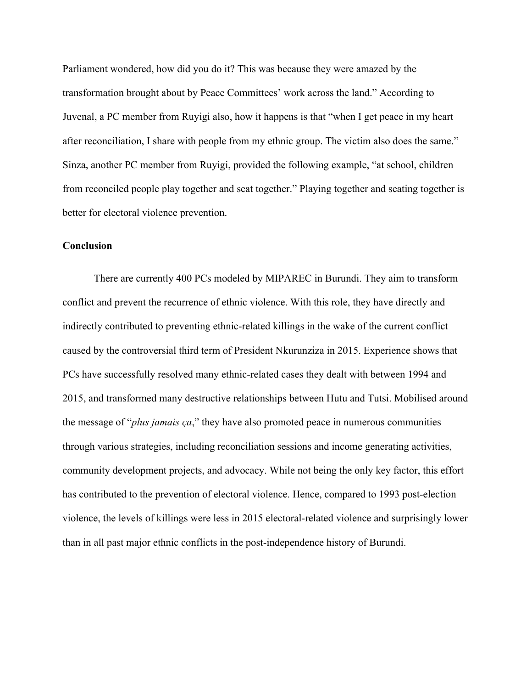Parliament wondered, how did you do it? This was because they were amazed by the transformation brought about by Peace Committees' work across the land." According to Juvenal, a PC member from Ruyigi also, how it happens is that "when I get peace in my heart after reconciliation, I share with people from my ethnic group. The victim also does the same." Sinza, another PC member from Ruyigi, provided the following example, "at school, children from reconciled people play together and seat together." Playing together and seating together is better for electoral violence prevention.

## **Conclusion**

There are currently 400 PCs modeled by MIPAREC in Burundi. They aim to transform conflict and prevent the recurrence of ethnic violence. With this role, they have directly and indirectly contributed to preventing ethnic-related killings in the wake of the current conflict caused by the controversial third term of President Nkurunziza in 2015. Experience shows that PCs have successfully resolved many ethnic-related cases they dealt with between 1994 and 2015, and transformed many destructive relationships between Hutu and Tutsi. Mobilised around the message of "*plus jamais ça*," they have also promoted peace in numerous communities through various strategies, including reconciliation sessions and income generating activities, community development projects, and advocacy. While not being the only key factor, this effort has contributed to the prevention of electoral violence. Hence, compared to 1993 post-election violence, the levels of killings were less in 2015 electoral-related violence and surprisingly lower than in all past major ethnic conflicts in the post-independence history of Burundi.